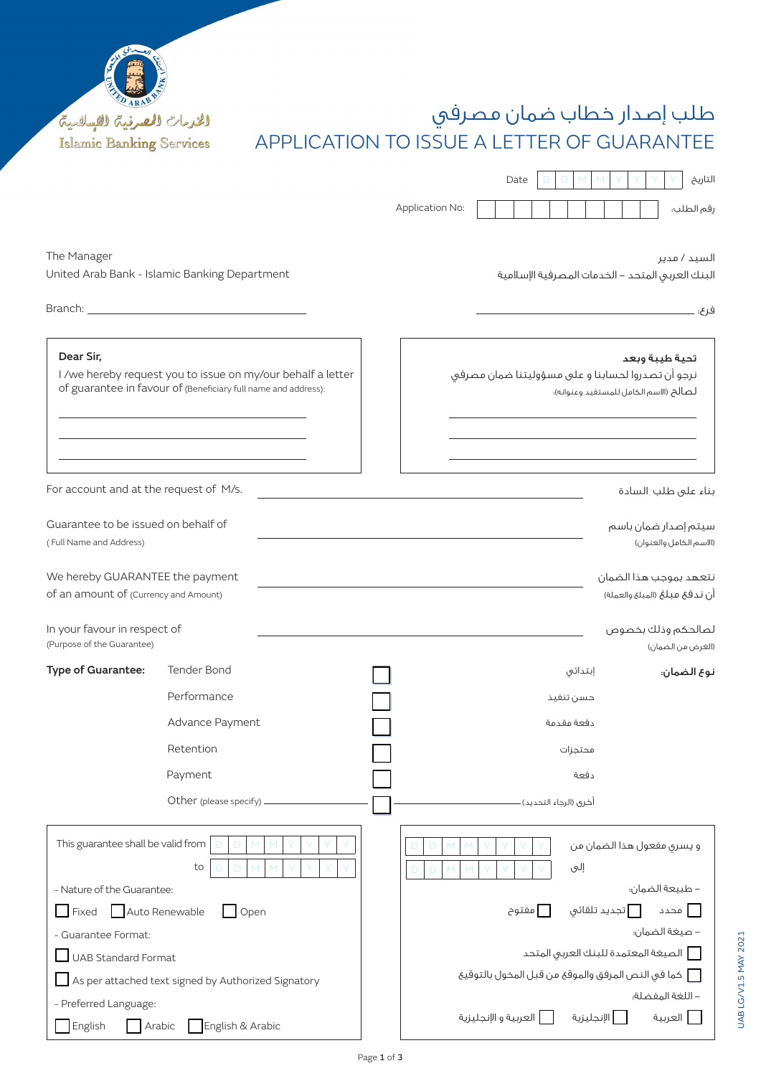

# طلب إصدار خطاب ضمان مصرفي APPLICATION TO ISSUE A LETTER OF GUARANTEE

|                 | Date |  |  |  |  |  | التاريخ    |
|-----------------|------|--|--|--|--|--|------------|
|                 |      |  |  |  |  |  |            |
| Application No: |      |  |  |  |  |  | رقم الطلب؛ |

نرجو أن تصدروا لحسابنا و على مسؤوليتنا ضمان مصرفي

The Manager United Arab Bank - Islamic Banking Department

السيد / مدير البنك العربي المتحد - الخدمات المصرفية اإلسالمية

لصالح (الاسم الكامل للمستفيد وعنوانه)؛

فرع:

تحية طيبة وبعد

بناء على طلب السادة

سيتم إصدار ضمان باسم )االسم الكامل والعنوان(

نتعهد بموجب هذا الضمان أن ندفع مبلغ (المبلغ والعملة)

Dear Sir,

Branch:

I /we hereby request you to issue on my/our behalf a letter of guarantee in favour of (Beneficiary full name and address):

For account and at the request of M/s.

| Guarantee to be issued on behalf of |  |
|-------------------------------------|--|
| (Full Name and Address)             |  |

We hereby GUARANTEE the payment of an amount of (Currency and Amount)

- Guarantee Format:  $\Box$  UAB Standard Format

- Preferred Language:

 $\Box$  As per attached text signed by Authorized Signatory

 $\Box$  English  $\Box$  Arabic  $\Box$  English & Arabic

| In your favour in respect of<br>(Purpose of the Guarantee) |                        |  |                         |                      | لصالحكم وذلك بخصوص<br>(الغرض من الضمان) |
|------------------------------------------------------------|------------------------|--|-------------------------|----------------------|-----------------------------------------|
| Type of Guarantee:                                         | <b>Tender Bond</b>     |  |                         | إبتدائى              | نوع الضمان:                             |
|                                                            | Performance            |  |                         | حسن تنفيذ            |                                         |
|                                                            | Advance Payment        |  |                         | دفعة مقدمة           |                                         |
|                                                            | Retention              |  |                         | محتجزات              |                                         |
|                                                            | Payment                |  |                         | دفعة                 |                                         |
|                                                            | Other (please specify) |  | أخرى (الرجاء التحديد) - |                      |                                         |
| This guarantee shall be valid from<br>Ð<br>Ð               |                        |  |                         |                      | و يسرى مفعول هذا الضمان من              |
|                                                            | to                     |  |                         | إلىى                 |                                         |
| - Nature of the Guarantee:                                 |                        |  |                         |                      | – طبيعة الضمان:                         |
| Auto Renewable<br>Fixed<br>Open                            |                        |  | مفتوح                   | أتجديد تلقائى $\Box$ | ا محدد                                  |

- صيغة الضمان:

- اللغة المفضلة:

الصيغة المعتمدة للبنك العربي المتحد

كما في النص المرفق والموقع من قبل المخول بالتوقيع

العربية اإلنجليزية العربية و اإلنجليزية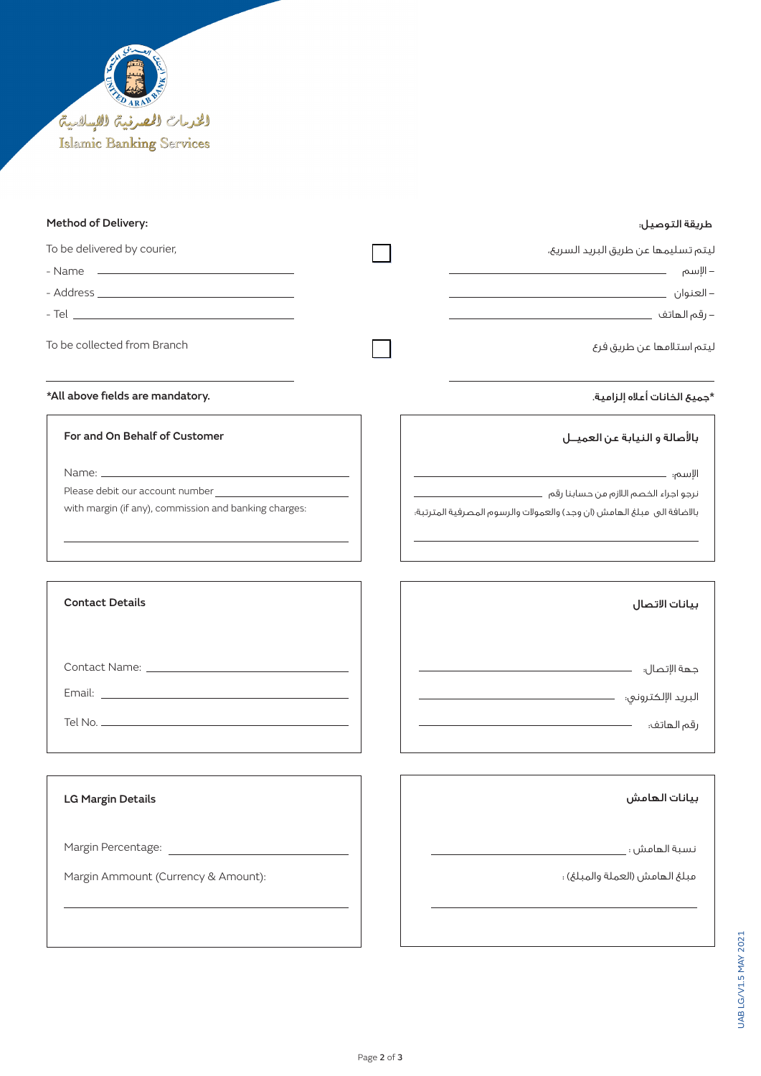

Margin Ammount (Currency & Amount):

### طريقة التوصيل: :Delivery of Method

| To be delivered by courier,                           | ليتم تسليمها عن طريق البريد السريع،                                    |
|-------------------------------------------------------|------------------------------------------------------------------------|
|                                                       |                                                                        |
|                                                       |                                                                        |
|                                                       |                                                                        |
| To be collected from Branch                           | ليتم استلامها عن طريق فرع                                              |
| *All above fields are mandatory.                      | *جميع الخانات أعلاه إلزامية.                                           |
| For and On Behalf of Customer                         | بالأصالة و النيابة عن العميــل                                         |
|                                                       |                                                                        |
|                                                       |                                                                        |
| with margin (if any), commission and banking charges: | بالاضافة الى مبلغ الهامش (ان وجد) والعمولات والرسوم المصرفية المترتبة؛ |
| <b>Contact Details</b>                                | بيانات الاتصال                                                         |
|                                                       |                                                                        |
|                                                       |                                                                        |
|                                                       |                                                                        |
|                                                       |                                                                        |
| <b>LG Margin Details</b>                              | بيانات الهامش                                                          |
| Margin Percentage:                                    | نسبة الهامش ؛                                                          |

مبلغ الهامش (العملة والمبلغ) :